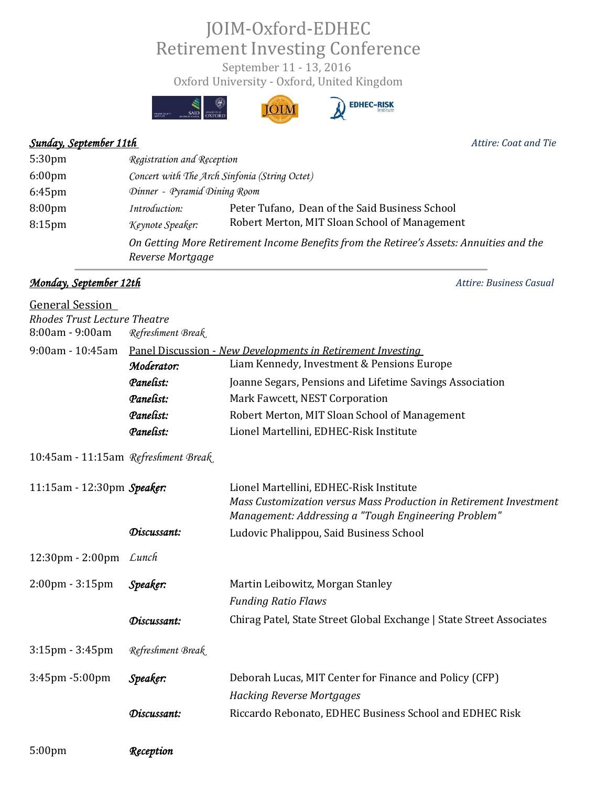## JOIM-Oxford-EDHEC Retirement Investing Conference

Oxford University - Oxford, United Kingdom September 11 - 13, 2016





## *Sunday, September 11th Attire: Coat and Tie*

5:30pm *Registration and Reception* 6:00pm *Concert with The Arch Sinfonia (String Octet)* 6:45pm *Dinner - Pyramid Dining Room*  8:00pm *Introduction:* Peter Tufano, Dean of the Said Business School 8:15pm *Keynote Speaker:* Robert Merton, MIT Sloan School of Management *On Getting More Retirement Income Benefits from the Retiree's Assets: Annuities and the Reverse Mortgage* 

## *Monday, September 12th Attire: Business Casual*

| Panel Discussion - New Developments in Retirement Investing |                                                                                                               |  |
|-------------------------------------------------------------|---------------------------------------------------------------------------------------------------------------|--|
| Moderator:                                                  | Liam Kennedy, Investment & Pensions Europe                                                                    |  |
| Panelist:                                                   | Joanne Segars, Pensions and Lifetime Savings Association                                                      |  |
| Panelist:                                                   | Mark Fawcett, NEST Corporation                                                                                |  |
| Panelist:                                                   | Robert Merton, MIT Sloan School of Management                                                                 |  |
| Panelist:                                                   | Lionel Martellini, EDHEC-Risk Institute                                                                       |  |
| 10:45am - 11:15am Refreshment Break                         |                                                                                                               |  |
| 11:15am - 12:30pm Speaker:                                  | Lionel Martellini, EDHEC-Risk Institute<br>Mass Customization versus Mass Production in Retirement Investment |  |
|                                                             | Management: Addressing a "Tough Engineering Problem"                                                          |  |
| Discussant:                                                 | Ludovic Phalippou, Said Business School                                                                       |  |
| 12:30pm - 2:00pm Lunch                                      |                                                                                                               |  |
| Speaker:                                                    | Martin Leibowitz, Morgan Stanley                                                                              |  |
|                                                             | <b>Funding Ratio Flaws</b>                                                                                    |  |
| Discussant:                                                 | Chirag Patel, State Street Global Exchange   State Street Associates                                          |  |
| Refreshment Break                                           |                                                                                                               |  |
| Speaker:                                                    | Deborah Lucas, MIT Center for Finance and Policy (CFP)                                                        |  |
|                                                             | <b>Hacking Reverse Mortgages</b>                                                                              |  |
| Discussant:                                                 | Riccardo Rebonato, EDHEC Business School and EDHEC Risk                                                       |  |
| Reception                                                   |                                                                                                               |  |
|                                                             | <b>Rhodes Trust Lecture Theatre</b><br>Refreshment Break                                                      |  |